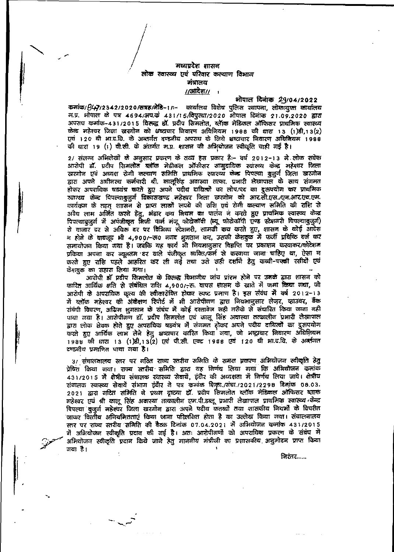## मध्यप्रदेश शासन लोक स्वास्थ्य एवं परिवार कल्याण विभाग मंत्रालय <u>//आदेश// 1</u>

भोपाल दिनांक 29/04/2022 कमांक/347/2342/2020/सत्रह/मेडि-1/-- कार्यालय विशेष पुलिस स्थापना, लोकायुक्त कार्यालय म.प्र. भोपाल के पत्र 4694/अप.कं 431/15/विपुरधा/2020 भोपाल दिनांक 21.09.2020 द्वारा अपराघ कमांक-431/2015 विरुद्ध डॉ. प्रदीप सिमलोत. ब्लॅाक मेडिकल ऑफिसर प्राथमिक स्वास्थ्य योन्द्र महेश्यर जिला खरगोल को भष्ट्यचार लिवारण अधिलियम 1988 की धारा 13 (1)डी,13(2) एवं 120 बी भा.द.वि. के अन्तर्गत दण्डनीय अपराध के लिये भ्रष्टाचार निवारण अधिनियम 1988 की धारा 19 (1) वी.सी. के अंतर्गत म.प्र. शासन की अभियोजन स्वीकृति चाही गई है।

2/ संलग्न अभिलेखों के अनुसार प्रकरण के तथ्य हस प्रकार है:- वर्ष 2012-13 में लोक सवेक आरोपी डॉ. प्रदीप सिमलोत ब्लॉक मेडीकल ऑफीसर सामुदायिक स्वास्थ्य केन्द्र भहेश्वर जिला खरगोन एवं अध्यक्ष रोगी कल्याण समिति प्राथमिक स्यास्थ्य केन्द्र पिपल्या बुजुर्ग जिला खरगोन द्वारा अपने अधीनस्थ कर्मचारी श्री, कालूसिंह अवास्या तत्का, प्रभारी लेखापाल के साथ संगमत होकर अपराधिक षडयंत्र करते हुए अपने पदीय दायित्यों का लोप/पद का दुरुपयोग कर प्राथमिक स्वास्थ्य केन्द्र पिपल्याबुजुर्ग विकासखण्ड महेश्वर जिला खरगोन को आर.सी.एस./एन.आर.एच.एम. कार्यक्रम के तहत् शासिन से प्राप्त लाखों रूपये की राशि एवं रोगी कल्याण समिति की राशि से अयेध लाभ अर्जित करने हेतु, भंडार कय मियम का पालंन न करते हुए प्राथमिक स्वास्थ्य केन्द्र पिपल्याबुजुर्ग में अपंजीकृत सिजी फर्म मंजू फोटोकॉपी (न्यू फोटोकॉपी एण्ड स्टेशनरी पिपल्याबुजुर्ग) रो माजार दर से अधिक दर पर विभिन्न स्टेशनरी, सामग्री कय करते हुए, शासन के कोई आदेश न होने के बावजूद भी 4,900/-ऊ0 नगर भुगतान कर, उसकी केशबुक में फर्जी प्रविष्ठि दर्ज कर समायोजन किया गया है। जबकि यह कार्य भी नियमानुसार विज्ञप्ति का प्रकाशन करवाकर/कोटेशन प्रक्रिया अपना कर न्यूनतम 'दर वाले पंजीकृत व्यक्ति/फर्म से करवाया जाना चाहिए था, ऐसा न करते हुए राशि पहले आहरित कर ली गई तथा उसे सही दर्शाने हेतु कच्ची-पक्की रसीदों एवं केशखुक का सहारा लिया गया।

आरोपी डॉ प्रदीप सिमलोत के विरुद्ध विभागीय जांच प्रांरभ होने पर उनके द्वारा शासन को कारित आर्थिक क्षति से संबंधित राशि 4,900/-रू. यापस शासन के खाते में जमा किया गया, जो आरोपी के अपराधिक कृत्य की स्वीकारोक्ति होकर स्पष्ट प्रमाण है। इस संबंध में वर्ष 2012-13 में स्लॉक महेश्वर की अंकेक्षण रिपोर्ट में भी आरोपीगण द्वारा निथमानुसार लेजर, व्हाउवर, बैंक संबंधी विवरण, अग्रिम भुगतान के संबंध में कोई दस्तावेज सही तरीके से संघारित किया जाना नही पाया गया है। आरोपीगण डॉ. प्रदीप सिमलोत एवं कालू सिंह अवास्या तत्कालीन प्रभारी लेखापाल द्वारा लोक सेवक होते हुए अपराधिक षडयंत्र में संगमत होकर अपने पदीय दायित्वों का दुरुपयोग करते हुए आर्थिक लाभ लेने हेतु भ्रष्टाचार कारित किया जवा, जो भष्ट्राचार निवारण अधिनियम 1988 की धारा 13 (1)डी, 13(2) एवं पी.सी. एक्ट 1988 एवं 120 की भा.द.वि. के अर्ब्सवात दण्डलीय प्रमाणित पाया गया है।

3/ संचालनालय स्तर पर गठित राज्य स्तरीय समिति के समक्ष प्रकरण अभियोजन स्वीकृति हेतु प्रेषित किया गया। राज्य स्तरीय समिति द्वारा यह निर्णय लिया गया कि अभियोजन कसांक 431/2015 में क्षेत्रीय संचालक स्वास्थ्य सेवायें, हंदौर की अध्यक्षता में निर्णय लिया जावे। क्षेत्रीय रांचालक स्वास्थ्य सेवायें संभाग इंदौर ने पत्र कमांक शिका ,(संचा /2021/2298 दिनांक 08.03. 2021 द्वारा गटित समिति ने प्रथम दृष्ट्या हो, प्रदीप सिमलोत ब्लॉक मेडिकल ऑफिसर ब्लाक महेश्वर एवं श्री कालू सिंह अवास्या तत्कालीन एम.पी.डब्लू प्रभारी लेखापाल प्राथमिक स्वास्थ्य केन्द्र पिपल्या बुजुर्ज महेश्यर जिला खरगोन द्वारा अपने पदीय कतव्यों तथा शासकीय नियमों के विपरीत जाकर वित्तीय अनियमितताएं किया जाना परिलक्षित होता है का उल्लेख किया गया। संचालनालय स्तर पर राज्य स्तरीय समिति की बैठक दिनांक 07.04.2021 में अभियोजन कमांक 431/2015 र्में अभियोजन स्वीकृति प्रदान की गई है। अतः आरोपीगणों को अपराधिक प्रकरण के संबंध में अभियोजन स्वीकृति प्रदान किये जाने हेतु माननीय मंत्रीजी का प्रशासकीय अनुमोदन प्राप्त किया गया है।

निरंतर……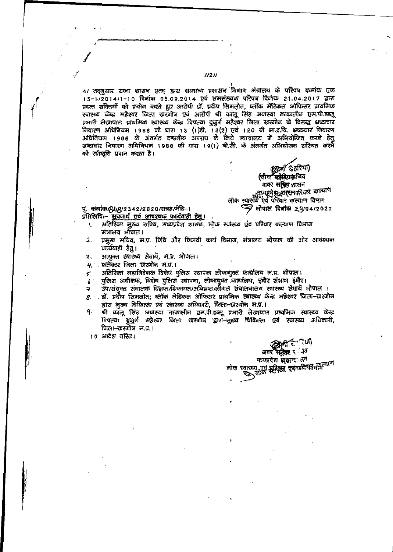4/ तद्नुसार राज्य शासन एतद् द्वारा सामान्य प्रशासन विभाग मंत्रालय के परिपत्र कमांक एफ 15-1/2014/1-10 दिनांक 05.09.2014 एवं समसंख्यक परिपत्र दिनांक 21.04.2017 द्वारा प्रदत्त शक्तियों को प्रयोग करते हुए आरोपी डॉ. प्रदीप सिमलोत, ब्लॉक मेडिकल ऑफिसर प्राथमिक रवास्थ्य केन्द्र महेश्यर जिला खरजोन एवं आरोपी श्री कालू सिंह अयास्या *सत्कालीन* एम.पी.डब्लू प्रभारी लेखापाल प्राथमिक स्वास्थ्य केन्द्र पिपल्या बुजुर्ग महेश्यर जिला खरगोन के विरुद्ध भ्रष्टाचार निवारण अधिनियम 1988 की धारा 13 (1)डी, 13(2) एवं 120 बी भा.द.वि. अध्यकार निवारण अधिलियम । ९८८ के अंतर्गत दण्डवीय अपराघ के लिये व्यायालय में अभियोजित करने हेत् भ्रष्टाचार निवारण अधिनियम 1988 की धारा 19(1) बी.सी. के अंतर्गत अभियोजन संस्थित करने की स्वीकृति प्रदान करता है।

 $1/21/$ 

छुद्वत ढहरिया) (सीमा कुर्रदियमाथिव अवर संचित शासन सूर्यप्रदेश<sub>द</sub>र्गासनपरिवार कल्याण लोक स्वास्थ्य एवं परिवार कल्याण विभाग رچ ओपाल दिनांक 29/04/2022

্যো]

अवर संक्षित २ . उत मध्यप्रदेश सू<del>ष्</del>लाक सन स्वास्थ्य एवं सरिसमं कुरुवार्य किमीन पाण

पू. कर्माक/94/8/2342/2020/सत्रह/मेडि–1 प्रतिलिपिः– सुवनार्थं एवं आवश्यक कार्यवाही हेत्।

- अतिरिक्त मुख्य सचिव, मध्यप्रदेश शासन, लोक स्वास्थ्य एव परिवार कल्याण विभाग Ł संत्रालय भौपाल।
- प्रमुख सचिव, म.प्र. विधि और विधायी कार्य विभाज, मंत्रालय भोपाल की ओर आवश्यक  $\overline{\mathbf{2}}$  . कार्यवाही हेत्।
- आयुक्त स्थास्थ्य सेवायें, म.प्र. भोपाल।  $\mathbf{2}$
- यू : फलेक्टर जिला खरणोन म.प.।
- अतिरिक्त महानिदेशक विशेष पुलिस स्थापना लोकायुक्त कार्यालय म.प्र. भोपाल। <.
- पुलिस अधीक्षक, विशेष पुलिस स्थापना, लोकायुक्त कार्यालय, इंदौर संभाग इंग्रैर।  $\epsilon^{\, \cdot}$
- उप/संयुक्त संचालक विझप्त/शिकायत/अविझप्त/लीगल संचालनालय स्वास्थ्य सेवायें भोपाल । ₹.
- 8. . डॉ. प्रदीप सिमलोत; ब्लॉक मेडिकल ऑफिसर प्राथमिक स्वास्थ्य केन्द्र महेश्वर जिला-चारणोन द्वारा मुख्य चिकित्सा एवं स्वास्थ्य अधिकारी, जिला-खरणोन भ.प्र.।
- ٩. श्री कालू सिंह अवास्या तत्कालीन एम.पी.डब्लू प्रभारी लेखापाल प्राथमिक स्वास्थ्य केन्द्र पिपल्या बुजुर्ग महेश्यर जिला खरजोज द्वारा-सुष्ट्य धिकित्सा एवं स्वास्थ्य अधिकारी, जिला-खरगोज स.प्र.।

लोक

10 आदेश नस्ति।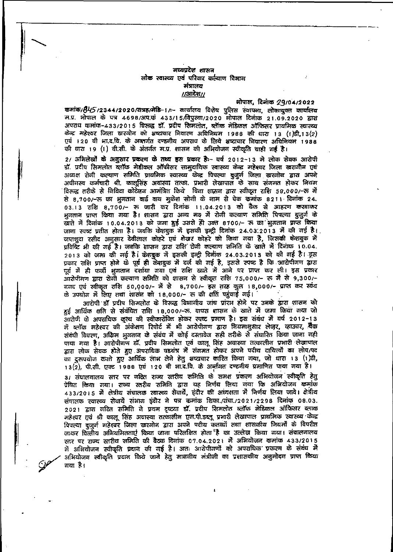#### मध्यप्रदेश शासन लोक स्वास्थ्य एवं परिवार कर्त्याण विभाग मंत्रालय  $1/30$ देश $1/$

ओपाल, दिनाक 29/04/2022

कमांक/845/2344/2020/सम्रह/मेडि-1/:- कार्यालय विशेष पुलिस स्थापना, लोकायुक्त कार्यालय म.प्र. भोपाल के पत्र 4698/अप.कं 433/15/विपुस्था/2020 मोपाल दिनाक 21.09.2020 द्वारा अपराध कमांक-433/2015 विरुद्ध डॉ. प्रदीप सिमलोत, ब्लॅाक मेडिकल ऑफिसर प्राथमिक स्वास्थ्य केन्द्र महेश्वर जिला खरगोन को भ्रष्टाचार निवारण अघिनियम 1988 की धारा 13 (1)डी,13(2) एयं 120 वी भा.द.धि. के अक्सर्गत दण्डनीय अपराध के लिये भ्रष्टाचार निवारण अधिनियम 1988 की धारा 19 (1) बी.सी. के अंतर्गत म.प्र. शासन की अभियोजन स्वीकृति धाही गई है।

2/ अभिलेखों के अनुसार प्रकरण के तथ्य इस प्रकार है:- वर्ष 2012-13 मे लोक सेक्क आरोपी डॉ. प्रदीप सिमलोत ब्लॉक मेडीकल ऑफीसर सामुदायिक स्वास्थ्य केन्द्र महेश्वर जिला खरागौन एवं अध्यक्ष रोजी कल्याण समिति प्रायमिक स्यास्थ्य केन्द्र पिपल्या बुजुर्ग जिला स्रारजोन द्वारा अपने अधीनस्य कर्मचारी श्री. कालूसिंह अवास्था तत्का. प्रभारी लेखापाल के साथ संगमत होकर नियम विरुद्ध तरीके से निविदा कोटेशन आमंत्रित किये बिना शासन द्वारा स्वीकृत राशि 50,000/-रू में से 8,700/-रू का भुगतान बाई वाय मुकेश सोनी के नाम से चेक कमांक 821। दिनांक 24. 03.13 राशि 8,700/- रू जारी कर दिनांक 11.04.2013 को बैंक से आहरण करवाकर भुगतान प्राप्त किया गया है। शासन द्वारा अन्य मरु में रोगी कत्याण समिति पिपल्या बुजुर्ग के खाते में दिनांक 10.04.2013 को जमा हुई उससे ही उक्त 8700/- रू का भूगतान प्राप्त किया (जाना स्पष्ट प्रतीत होता है। जबकि केशबुक में इसकी इन्ट्री दिनांक 24.03.2013 में की गई है। जप्तशुदा रसीद अनुसार देवीलाल कोहरे एयं शेखर कोहरे को किया गया है, जिसकी केशबुक में प्रविष्टि भी की गई है। जबकि शासन द्वारा राशि रोगी कल्याण समिति के खाते में दिनाक 10.04. 2013 को जमा की गई है। केशबुक में इसकी इन्ट्री दिनींक 24.03.2013 को की गई है। ड्रूस प्रकार राशि प्राप्त होने के पूर्व ही केशबुक में दर्ज की गई है, इससे स्पष्ट है कि आरोपीगण द्वारा चूर्व में ही फर्जी भुगतान दर्शाया गया एवं राशि खाते में आने पर प्राप्त कर ली। इस प्रकार आरोपीगण द्वारा रोगी कल्याण समिति को शासन से स्वीकृत राशि 75,000/– रू में से 9,300/– नगद एवं स्वीकृत राशि 50,000/- में से 8,700/- इस तरह कुल 18,000/- प्राप्त कर स्वंय के उपयोग में लिए तथा शासन को 18,000/- रू की क्षति पहुंचाई गई।

आरोपी डॉ प्रदीप सिमलोत के विरूद्ध विभागीय जांच प्रांरभ होने पर उनके द्वारा शासन को हुई आर्थिक क्षति से संबंधित राशि 18,000/-रू. यापस शासन के खाते में जमा किया जया जो आरोपी के अपराधिक कृत्य की स्वीकारोक्ति होकर स्पष्ट प्रमाण है। इस संबंध में यर्ष 2012-13 में व्लॉक मदेश्वर की अंकेक्षण रिपोर्ट में भी आरोपीगण द्वारा नियमानुसार लेजुर, व्हाउचर, खैंक संवंधी विवरण, अग्रिम भूगतान के संबंध में कोई दस्तावेज सही तरीके से संघारित किया जाना नही पाया गया है। आरोपीगण डॉ. प्रदीप सिमलोत एवं कालू सिंह अवास्या तत्कालील प्रभारी लेखापाल द्वारा लोक सेवक होते हुए अपराधिक षडयंत्र में संगमत होकर अपने पदीय दायित्यों का लोप/पद का दुरुपयोग करते हुए आर्थिक लाभ लेने हेतु भष्ट्यचार कारित किया गया, जो धारा 13 (1)वी, 13(2), पी.सी. एक्ट 1988 एवं 120 बी भा.द.वि. के अर्व्हागत दण्डनीय प्रभाणित पाया गया है।

३/ संघालनालय स्तर पर गठित राज्य स्तरीय समिति के समक्ष प्रकरण अभियोजन स्वीकृति हेतू प्रेषित किया गया। राज्य स्तरीय समिति द्वारा यह निर्णय लिया गया कि अभियोजन कमांक 433/2015 में क्षेत्रीय संचालक रवास्थ्य सेवार्ये, हंदौर की अध्यक्षता में निर्णय लिया जाये। क्षेत्रीय संचालक रवास्थ्य सेवायें संभाग इंदौर ने पत्र कमांक शिका./संचा./2021/2298 दिनांक 08.03. 2021 द्वारा गटित समिति ने प्रथम दृष्ट्या डॉ. प्रदीप सिमलोत ब्लॉक मेडिकल ऑफिसर ब्लाक महेश्वर एवं श्री कालू सिंह अवास्या तत्कालीन एम.पी.डब्लू प्रभारी लेखापाल प्राथमिक स्वास्थ्य केन्द्र पिपल्या दुजुर्ग महेश्वर जिला खरगोन द्वारा अपने परीय कतव्यों तथा शासकीय नियर्मों के विपरीत जाकर वित्तीय अनिवमितताएं किया जाना परिलक्षित होता है का उल्लेख किया गया। संचालनालय रतर पर राज्य स्तरीय समिति की बैठक दिनांक ०७.०४.२०२१ में अभियोजन कमांक ४३३/2015 में अभियोजन स्वीकृति प्रदान की गई है। अतः आरोपीगणों को अपराधिक प्रकरण के संबंध में अभियोजन स्वीकृति प्रदान किये जाने हेतु माननीय मंत्रीजी का प्रशासकीय अनुमोदन प्राप्त किया गया है।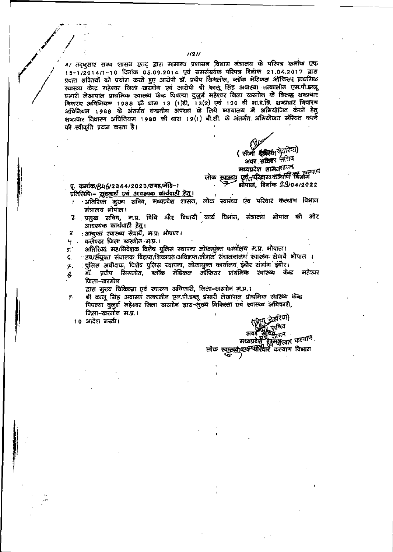$11211$ 

4/ तद्नुसार राज्य शासन एतद् द्वारा सामान्य प्रशासन विभाग मंत्रालय के परिषत्र कर्माक एफ 15-1/2014/1-10 दिनांक 05.09.2014 एवं समसंख्येक परिपत्र दिनांक 21.04.2017 द्वारा प्रदत्त शक्तियों को प्रयोग करते हुए आरोपी डॉ. प्रदीप सिमलोत, ब्लॉक मेटिकल ऑफिसर प्राथमिक रवास्थ्य केन्द्र महेश्वर जिला खरनोन एवं आरोपी श्री कालू सिंह अवास्था तत्कालीन एम.पी.हब्लू प्रभारी लेखापाल प्राथमिक स्वास्थ्य फेळ पिपल्या बुजुर्ज महेश्वर जिला खरजोन के विरुद्ध भष्यवार विवारण अधिनियम 1988 की घारा 13 (1)डी, 13(2) एवं 120 वी भा.द.वि. शष्ट्यघार नियारण अधिनियम 1988 के अंतर्गत दण्डनीय अपराध के लिये व्यायालय में अभियोजित करने हेतु क्षष्टाचार नियारण अधिनियम 1988 की धारा 19(1) बी.सी. के अंतर्गत अभियोजन संस्थित करने की स्वीकृति प्रदान करता है।

> ( सीमाँ इंड्रीएक फेडरिया) अवर सेजिनर नीचिय मध्यप्रदेश शासनगासन लोक स्वास्थ्य एकं परिकार कल्याणि विक्रांत पर मोपाल, दिनांक 29/04/2022

#### पू. कमांक/846/2344/2020/सत्रह/मेडि–१ प्रतिलिपिः- सूचनार्थं एवं आवश्यक कार्यवाही हेतु ।

- -अतिरिक्त मुख्य सचिव, मध्यप्रदेश शासन, लोक स्वास्थ्य एव परिवार कल्याण विभाग  $\mathbf{I}$ मंत्रालय भोपाल।
- 2 प्रमुख सचिव, म.प्र. विधि और विधायी कार्य विभाग, मंत्रालय भोपाल की ओर आयश्यक कार्यवाही हेतु।
- : आयुक्तं स्वास्थ्य सेवार्ये, म.प्र: भोपाल। 3
- ៘ कलेक्टर जिला खरगोन म.प.।

अतिरिक्त महानिदेशक विशेष पुलिस स्थापना लोकायुक्त कार्यालय म.प्र. भोपाल। : ک

्उप/संयुक्त संचालक विक्रप्त/शिकायत/अविज्ञप्त/लीगल संचालनालयं स्यास्थ्यः सेवाये भोपाल । 6.

पुलिस अधीक्षक, विशेष पुलिस स्थापना, लोकायुक्त कार्यालय इंदौर संभाग इंदौर।  $\boldsymbol{\tau}$ .

डॉ. प्रदीप सिमलोत, ब्लॉक मेडिकल ऑफिसर प्रायमिक स्वास्थ्य केन्द्र महेश्वर 8 जिला-खरगोन

द्वारा मुख्य चिकित्सा एवं स्वास्थ्य अधिकारी, जिला-खरगोन म.प.।

श्री कालू सिंह अवास्यां तत्कालीन एम.पी.डब्लू प्रभारी लेखापाल प्राथमिक स्थास्थ्य केन्द्र 9. पिपल्या बुजुर्ज महेश्यर जिला खरजोन द्वारा-सुख्य विकित्सा एवं स्वास्थ्य अधिकारी, जिला-खरगोन म.प्र.। टरिया∤

10 आदेश नस्ती।

স্নবিন ইয়<sub>ন্দি</sub>ন सव

मध्यप्रदेशी शानसूत्र्याए कल्याणे<br>लोक स्मुस्क्षीत्यर्थ-परिवारे कल्याण विभाग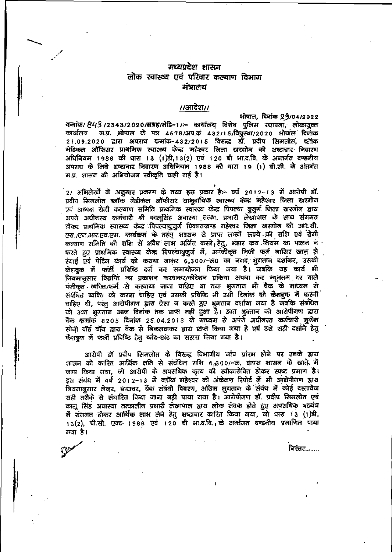# मध्यप्रदेश शासन लोक स्वास्थ्य एवं परिवार कल्याण विभाग मंत्रालय

### $/$ अग्दिश $/$

भोपाल, दिवांक 29/04/2022 कर्माक/ 843 /2343/2020/सन्नह/मेडि-1/:- कार्यालय विशेष पुलिस स्थापना, लोकायुक्त म.प्र. भोपाल के पत्र 4678/अप.कं 432/15/विपुस्था/2020 भोपाल दिनाक कार्यालय २१.०९.२०२० द्वारा अपराध कमांक-432/2015 विरुद्ध डॉ. प्रदीप सिमलोत, ब्लॅाक मेडिकल ऑफिसर प्राथमिक स्वास्थ्य फेन्द्र महेश्वर जिला खरगोन को भ्रष्टाचार निवारण अधिनियम 1988 की धारा 13 (1)डी, 13(2) एवं 120 बी भा.द.वि. के अन्तर्गत दण्डनीय अपराघ के लिये भ्रष्टाचार निवारण अधिनियम 1988 की धारा 19 (1) बी.सी. के अंतर्गत म.प्र. शासन की अभियोजन स्वीकृति चाही गई है।

2/ अभिलेखों के अनुसार प्रकरण के तथ्य हस प्रकार है:- वर्ष 2012-13 में आरोपी डॉ. प्रदीप सिमलोत ब्लॉक मेडीकल ऑफीसर सामुदायिक स्वास्थ्य केन्द्र महेश्वर जिला खरगोन एवं अध्यक्ष रोगी कल्याण समिति प्राथमिक स्वारख्य फेन्द्र पिपल्या बुजुर्ग जिला खरगोन द्वारा अपने अधीनस्थ कर्मचारी श्री कालूसिंह अवास्था तत्का. प्रभारी लेखापाल के साथ संगमत होकर प्राथमिक स्थास्थ्य केन्द्र पिपल्याबुजुर्ग विकासस्रण्ड महेश्वर जिला खरगोन को आर.सी. एस./एन.आर.एव.एम. कार्यकम के तहत् शाासन से प्राप्त लाखों रूपये की राशि एवं रोगी कल्याण समिति की राशि से अवैध लाभ अजित करने, हेतु, भंडार कय नियम का पालन न करते हुए प्राथमिक स्वास्थ्य केन्द्र पिपल्याबुजुर्ग में, अपंजीकृत निजी फर्म नासिर खान से रंगाई एयं पेटिंग कार्य को कराया जाकर 6,300/- 50 का नगद भुगतान दर्शाकर, उसकी केशबूक में फर्जी प्रविष्ठि दर्ज कर समायोजन किया गया है। जबकि यह कार्य भी लियमानुसार विज्ञप्ति का प्रकाशन करवाकर/कोटेशन प्रक्रिया अपना कर न्यूनतम दर वाले पंजीकृत व्यक्ति/फर्म से करवाया जाना चाहिए था तथा भुगतान भी चैक के माध्यम से संबंधित व्यक्ति को करना चाहिए एवं उसकी प्रविष्टि भी उसी दिनांक को कैशबुक में करनी घाहिए थी, परंतु आरोपीगण द्वारा ऐसा न करते हुए भूगतान दर्शाया गया है जबकि संबंधित को उक्त भूगतान आज दिनांक तक प्राप्त नहीं हुआ है। उक्त भूक्तान को आरोपीगण द्वारा चैक कमांक 8205 दिनांक 25.04.2013 के माध्यम से अपने अधीनस्त कर्मचारी मुकेश सोनी वॉर्ड बॉय द्वारा बैंक से निकलवाकर द्वारा प्राप्त किया गया है एवं उसे सही दर्शाने हेतु कैशबुक में फर्जी प्रविष्टि हेतु कांट-छाट का सहारा लिया गया है।

आरोपी डॉ प्रदीप सिमलोत के विरुद्ध विभागीय जांच प्रांरभ होने पर उनके द्वारा शारान को कारित आर्थिक क्षति से संबंधित राशि 6,300/-रू. वापस शासन के खाते, में जना किया गया, जो आरोपी के अपराधिक कृत्य की स्वीकारोक्ति होकर स्पष्ट प्रमाण है। डस संबंध में वर्ष 2012-13 में ब्लॉक महेश्वर की अंकेक्षण रिपोर्ट में भी आरोपीगण द्वारा नियमानुसार लेजुर, व्हाउचर, बैंक संबंधी विवरण, अग्रिम भुगतान के संबंध में कोई दस्तावेज सही तरीके से संधारित किया जाना नही पाया गया है। आरोपीगण डॉ. प्रदीप सिमलोत एवं कालू सिंह अवास्या तत्कालीन प्रभारी लेखापाल द्वारा लोक सेवक होते हुए अपराधिक षडयंत्र में संगमत होकर आर्थिक लाभ लेने हेतु भष्टाचार कारित किया गया, जो धारा 13 (1)डी, 13(2), प्री.सी. एक्ट 1988 एवं 120 बी भा.द.वि., के अर्ब्तगत दण्डनीय प्रमाणित पाया गया है।

निरंतर……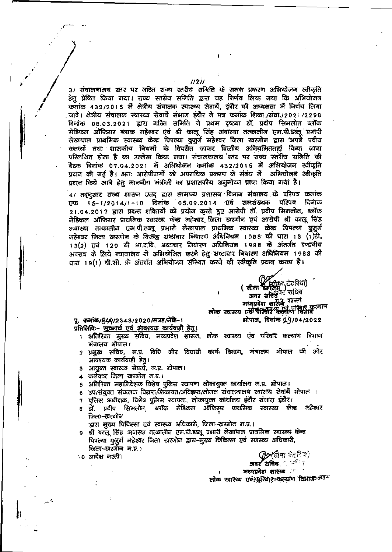3/ संचालनालय स्तर पर गठित राज्य स्तरीय समिति के समक्ष प्रकरण अभियोजन स्वीकृति हेत् प्रेषित किया गया। राज्य स्तरीय समिति द्वारा यह निर्णय लिया गया कि अभियोजन कमांक 432/2015 में क्षेत्रीय संचालक स्वास्थ्य सेवायें, इंदौर की अध्यक्षता में निर्णय लिया जावे। क्षेत्रीय संचालक स्वास्थ्य सेवायें संभाग इंदौर ने पत्र कमांक शिका./संचा./2021/2298 दिलांक 08.03.2021 द्वारा गठित समिति ने प्रथम दृष्ट्यां डॉ. प्रदीप सिमलोत ब्लॉक नेडिकल ऑफिसर ब्लाक महेश्वर एवं श्री कालू सिंह अयास्या तत्कालीन एम.पी.डब्लू प्रभारी लेखापाल प्राथमिक स्वास्थ्य केन्द्र पिपल्या बुजुर्ण महेश्वर जिला खरगोन द्वारा अपने पदीय कतव्यों तथा शासकीय नियमों के यिपरीत जाकर वित्तीय अनियमितताएं किया जाना परिलक्षित होता है का उल्लेख किया गया। संचालनालय स्तर पर राज्य स्तरीय समिति की बैटक दिनांक 07.04.2021 में अभियोजन क्रमांक 432/2015 में अभियोजन स्वीकृति प्रदान की गई है। अतः आरोपीगणों को अपराधिक प्रकरण के संबंध में अभियोजन स्वीकृति प्रदान किये जाने हेतु माननीय मंत्रीजी का प्रशासकीय अनुमोदन प्राप्त किया गया है।

4/ तद्बुसार राज्य शासन एतद् द्वारा सामान्य प्रशासन विभाग मंत्रालय के परिपत्र कमांक 15-1/2014/1-10 दिनांक 05.09.2014 एवं समसंख्यक परिपत्र दिनांक ਸਾਰ 21.04.2017 द्वारा प्रदत्त शक्तियों को प्रयोग करते हुए आरोपी हों. प्रदीप सिमलोत, ब्लॉक मेडिकल ऑफिसर प्राथमिक रवारथ्य केन्द्र महेश्वर जिला खरगौन एवं आरोपी श्री कालू सिंह अवास्या तत्कालीन एम.पी.डब्लू प्रभारी लेखापाल प्राथमिक स्वास्थ्य केन्द्र पिपल्या बुज़ूर्ग महेश्वर जिला खरणोन के विरूद्ध भ्रष्टाचार निवारण अधिनियम । ९८८ की घारा १३ (१)डी, 13(2) एवं 120 बी भा.दावि. भ्रष्टाचार नियारण अधिनियम 1988 के अंतर्गत दण्डलीय अपराध के लिये न्यायालय में अभियोजित करने हेतु भ्रष्टाचार निवारण अधिनियम 1988 की धारा 19(1) बी.सी. के अंतर्गत अभियोजन संस्थित करने की स्वीकृति प्रदान करता है।

(सीमा अन्तर्गतिया) अवर सविवे<sup>वर</sup> संग्रिय

जन्म सायम् शासनं लोक स्वास्थ्य एवं पश्चिर केल्याण विभाग भोपाल, दिलांक 29/04/2022

पू. कमाके/844/2343/2020/सत्रह/लेडि-1 प्रतिलिपिः- सुचनार्थं एवं आदश्यक कार्यवाही हेतु।

- अतिरिक्त मुख्य सचिव भष्यप्रदेश शासन, लोक स्वास्थ्य एव परिवार कल्याण विभाग मंत्रालय भौपाल।
- 2 प्रमुख सचिव, म.प्र. विधि और विधायी कार्यं विभाग, मंत्रालय भोपाल की ओर आवश्यक कार्यवाही हेतु।
- आयुक्त स्वास्थ्य सेवायें, म.प्र. भोपाल।  $\overline{\mathbf{3}}$
- 4 कलेक्टर जिला खरगोन म.प्र.।
- 5 अतिरिक्त महानिदेशक विशेष पुलिस स्थापना लोकायुक्त कार्यालय म.प्र. भोपाल।
- 6 उप/संयुक्त संचालक विज्ञप्त/शिकायत/अधिज्ञप्त/लीगल संघालनालय स्वास्थ्य सेवाये भोपाल ।
- पुलिस अधीक्षक, विशेष पुलिस स्थापना, लोकायुक्त कार्यालय इंदौर संभाग हंदौर। 7
- डॉ. प्रदीप सिललोत, ब्लॉक मेडिकल ऑफिस्र्ट प्राथमिक स्वास्थ्य केन्द्र महेश्वर जिला-खरगोन
	- द्वारा मुख्य चिकित्सा एवं स्वास्थ्य अधिकारी, जिला-खरगोन म.प्र.।
- 9 श्री कालू सिंह अवास्या तत्कालीन एम.पी.डब्लू प्रभारी लेखापाल प्राथमिक स्वास्थ्य केन्द्र पिपल्या बुजुर्ग महेश्वर जिला खरगोन द्वाय-मुख्य चिकित्सा एवं स्यास्थ्य अधिकारी, जिला--खरगोन म.प्र. १

10 आदेश नस्ती।

≱ৰ্বাৰ ফা<sup>নি ফ</sup>

अवर $\epsilon$ संधिय $\epsilon = 10^{10.7}$ मध्यप्रदेश शासक स

लोक स्वास्थ्य एवं धूरियार=कल्याण दिशके ल्यान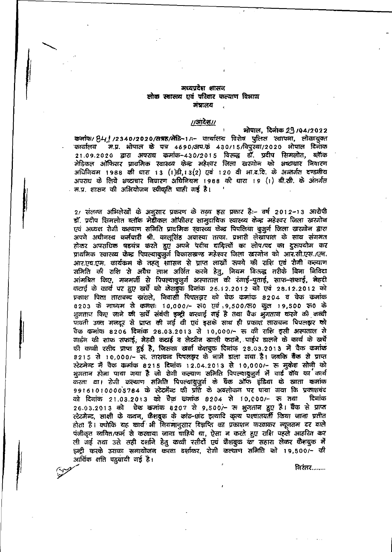### मध्यप्रदेश शासन लोक स्वास्थ्य एवं परिवार कल्याण विभाग मंत्रालय

#### $1/3172811$

मोपाल, दिनाक 29/04/2022 कर्माक/ 841 /2340/2020/सम्रह/मेडि-1/:- कार्यालय विशेष पुलिस स्थापना, लोकायुक्त कार्यालय म.प्र. भोपाल के पत्र 4690/अप.कं 430/15/विपुस्था/2020 भोपाल दिनाक 21.09.2020 द्वारा अपराध कमांक-430/2015 विरुद्ध डॉ. प्रदीप सिमलोत, ब्लॅाक मेडिकल ऑफिसर प्रायमिक स्वास्थ्य केन्द्र महेश्वर जिला खरजोन को भ्रष्टाचार निवारण अधिनियम 1988 की धारा 13 (1)डी,13(2) एवं 120 वी भा.द.दि. के अन्तर्गत दण्डनीय अपराध के लिये भ्रष्टाचार निवारण अधिनियम 1988 की धारा 19 (1) बी.सी. के अंतर्गत . म.प. शासन की अभियोजन स्वीकृति धाही गई है।

2/ संलग्न अभिलेखों के अनसार प्रकरण के तथ्य इस प्रकार है:- वर्ष 2012-13 आरोपी डॉ. प्रदीप सिमलोत ब्लॉक मेहीकल ऑफीसर सामुदायिक स्यास्थ्य केन्द्र महेश्वर जिला खरगोन एवं अध्यक्ष रोगी कल्याण समिति प्राथमिक स्वास्थ्य केन्द्र पिपलिया बुजुर्ण जिला खरगोन द्वारा अपने अधीनस्थ कर्मचारी श्री. कालूसिंह अवास्या तत्का. प्रभारी लेखापाल के साथ संगमत होकर अपराधिक षडयंत्र करते हुए अपने पदीय दायित्यों का लोप/पद का दुरुपयोग कर प्राथमिक स्वास्थ्य केन्द्र पिपल्याबुजुर्ग विकासस्रण्ड महेश्वर जिला खरगोन को आर.सी.एस./एम. आर.एच.एम. कार्यक्रम के तहत शाासन से प्राप्त लाखों रूपये की राशि एवं रोगी कल्याण समिति की राशि से अयैध लाभ अर्जित करने हेतु, नियम विन्ज़्द्ध तरीके बिना निविदा आंमग्रित किए, मनमर्जी से पिपल्याबूजूर्ग अस्पाताल की रंगाई-पुताई, साफ-सफाई, मेहदी कटाई के कार्य पर हुए खर्चे को केशबुक दिनांक 26.12.2012 को एवं 28.12.2012 को प्रकाश पिता तारावन्द खराले, निवासी पिपलझर को चेक कमांक 8204 व चेक कमांक 8203 के आध्यम से कमशः 10,000/- स0 एवं ,9,500/क0 कुल 19,500 रु0 के भुगतान किए जाने की सर्चे संबंधी इन्ट्री करवाई गई है तथा वैक भुगतान करने की कच्ची पावती उक्त अजदूर से प्राप्त की गई थी एवं इसके साथ ही प्रकाश ताराचन्द पिपलझर को चैक कमांक 8206 दिनांक 28.03.2013 से 10,000/- रू की राशि इसी अस्पताल से गार्डन की साफ सफाई, मेहदी कथई व लेव्यीन खाली कराने, पाईप हालने के कार्य के खर्चे की कच्ची रसीद प्राप्त हुई है, जिसका खर्चा केशबुक दिन्नांक 28.03.2013 में चैक कमांक 8215 से 10,000/- रु. ताराघव्द पिपलझर के नामें डाला गया है। जबकि बैंक से प्राप्त रटेटमेन्ट में चैक कमांक 8215 दिनांक 12.04.2013 से 10,000/- रू मुकेश सोनी को भूमतान होना पाया गया है जो रोगी कल्याण समिति पिपल्याबुज़ूर्ग में वार्ड वॉय का कार्य करता था। रोगी कल्याण समिति पिपल्याबुजुर्ग के धैक ऑफ इंडिया के खाता कमांक 991610100005784 के स्टेटमेंब्ट की प्रति के अवलोकन पर पाया गया कि प्रकाशचंद को दिनांक 21.03.2013 को चैक छन्नांक 8204 से 10,000/- रू तथा दिनांक 26.03.2013 को चेक कमांक 8207 से 9,500/- रू भुगतान हुए है। बैंक से प्राप्त २टेटमेन्ट, साक्षी के कथन, कैशबुक के कांट-छांट इत्यादि कृत्य पश्यातयती किया जाना प्रतीत होता है। क्योकि यह कार्य भी नियमानुसार विज्ञप्ति का प्रकाशन करवाकर न्यूनतम दर वाले पंजीकृत व्ययित/फर्म से करवाया जाना चाहिये था, ऐसा न करते हुए राशि पहले आहरित कर ली जई तथा उसे सही दर्शाने हेतु कच्ची रसीदों एवं फैशबुक का सहारा लेकर कैशबुक में इन्ट्री करके उसका समायोजन करना दर्शाकर, रोगी कल्याण समिति को 19,500/~ की आर्थिक क्षति पहुवायी गई है।

<u> निरंतर…….</u>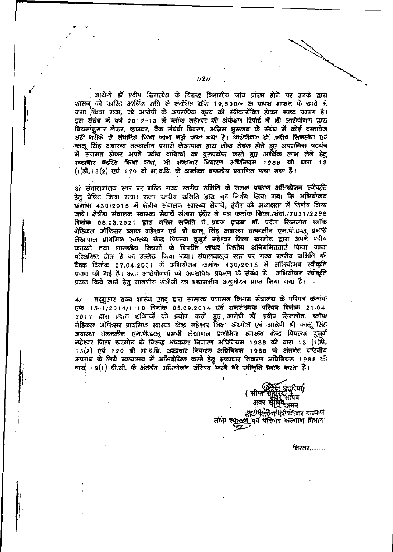आरोपी डॉ प्रदीप सिमलोत के विरुद्ध विभागीय जांच प्रांरभ होने पर उनके द्वारा शासन को कारित आर्थिक क्षति से संबंधित राशि 19,500/- रू वापस शासन के खाते मै जना किया गया, जो आरोपी के अपराधिक कृत्य की स्वीकारोंक्ति होकर स्पष्ट प्रमाण है। इस संबंध में वर्ष 2012-13 में ब्लॉक महेश्वर की अंकेक्षण रिपोर्ट में भी आरोपीगण द्वारा .<br>लियमानुसार लेजर, व्हाउघर, बैंक संबंधी विवरण, अग्रिम भुगतान के संबंध में कोई दस्तावेज सही तरीके से संघारित किया जाना नही पाया गया है। आरोपीगण डॉ. प्रदीप सिमलोत एवं कालू सिंह अवास्या तत्कालीन प्रभारी लेखापाल द्वारा लोक सेवक होते हुए अपराधिक षडयंत्र में संगमत होकर अपने पदीय दायित्वों का दुरूपयोग करते हुए आर्थिक लाभ लेने हेतु भ्रष्टाचार कारित किया गया, जो भ्रष्टाचार निवारण अधिनियम १९८८ की धारा १३ (1)डी,13(2) एवं 120 बी भा.द.वि. के अर्ज्जगत दण्डनीय प्रमाणित पाया गया है।

3) संचालनालय स्तर पर गठित राज्य स्तरीय रामिति के समक्ष प्रकरण अभियोजन स्वीकृति हेतु प्रेषित किया गया। राज्य स्तरीय समिति द्वारा यह निर्णय लिया गया कि अभियोजन कमांक 430/2015 में क्षेत्रीय संचालक स्वास्थ्य सेवायें, इंदौर की अध्यक्षता में निर्णय लिया जावे। क्षेत्रीय संचालक स्वास्थ्य सेवायें संभाग इंदौर ने पत्र कमांक शिका./संचा./2021/2298 विनोक 08.03.2021 द्वारा गठित समिति ने प्रथम दृष्ट्या डॉ. प्रदीप रिामलोत ब्लॉक मेडिकल ऑफिसर ब्लाक महेश्वर एवं श्री कालू सिंह अवास्था तत्कालीन एम.पी.डब्लू प्रभारी लेखापाल प्राथमिक स्वास्थ्य केन्द्र पिपल्या बुजुर्जे महेश्वर जिला खरजोन द्वारा अपने पदीय कतव्यों तथा शासकीय नियमों के विपरीत जाकर वित्तीय अनियमितताएं किया जाना परिलक्षित होता है का उल्लेख किया गया। संघालनालय स्तर पर राज्य स्तरीय समिति की बैटक दिनांक ०७.०४.२०२१ में अभियोजन कमांक ४३०/२०१५ में अभियोजन स्वीकृति प्रदान की गई है। अतः आरोपीगणों को अपराधिक प्रकरण के संबंध में अभियोजन स्वीकृति ्प्रदान किये जाने हेतु माननीय मंत्रीजी का प्रशासकीय अनुमोदन प्राप्त किया गया है। स

तद्वुसार राज्य शासेन एतद् द्वारा सामान्य प्रशासन विभाग मंत्रालय के परिपत्र कमांक  $\overline{41}$ एफ 15-1/2014/1-10 दिनांक 05.09.2014 एर्व समसंख्यक परिषत्र दिनांक 21.04. 2017 द्वारा प्रदत्त शक्तियों को प्रयोग करते हुए आरोपी डॉ. प्रदीप सिमलोत, ब्लॉक मेडिकल ऑफिसर प्राथमिक स्वास्थ्य केन्द्र महेश्वर जिला खेरगोन एवं आरोपी श्री कालू सिंह अवास्था तत्कालीन एम.पी.डब्लू प्रभारी लेखापाल प्राथमिक स्वास्थ्य केन्द्र पिपल्या बुजुर्ग महेश्वर जिला खरगोन के विरुद्धि भ्रष्टाघार निवारण अधिनियम 1988 की धारा 13 (1)डी, 13(2) एवं 120 बी भा.द.वि. भ्रष्ट्यचार निवारण अधिनियम 1988 के अंतर्जत दर्ण्डनीय अपराध के लिये न्यायालय में अभियोजित करने हेतु भूष्टाचार निवारण अधिनियम 1988 की धारा । 9(1) बी.सी. के अंतर्गत अभियोजन संस्थित करने की स्वीकृति प्रदान करता है।



निरंतर.........

 $1/211$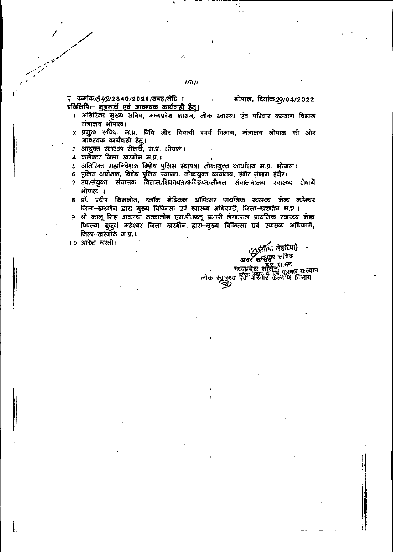### $1/31/$

पृ. कमांक*।842*/2340/2021/सत्रह/मेडि-1 प्रतिलिपिः– सूचनार्थं एवं आवश्यक कार्यवाही हेतु। ओपाल, दिलांक 29/04/2022

- 1 अतिरिक्त मुख्य सचिव, मध्यप्रदेश शासन, लोक स्वास्थ्य एंव परिवार कल्याण विभाग अंत्रालय ओपाल।
- 2 प्रमुख सचिव, म.प्र. विधि और विधायी कार्य विभाग, मंत्रालय भोपाल की ओर आयश्यक कार्यवाही हेतु।
- ३) आयुक्त स्वास्थ्य सेवायें, म.प्र. भोपाल।
- ४ कलेक्टर जिला खरगोन म.प.।
- 5 अतिरिक्त महानिदेशक विशेष पुलिस स्थापना लोकायुक्त कार्यालय म.प्र. भोपाल।
- 6 पुलिस अधीक्षक, विशेष पुलिस स्थापमा, लोकायुक्त कार्यालय, इंदौर संभाग इंदौर।
- $7$  उप/संयुक्त संचालक विज्ञप्त/शिकायत/अविज्ञेप्त/लीगल संचालनालय स्यास्थ्य सेवार्ये भोपाल ।
- 8 डॉ. प्रदीप सिभलोत, ब्लॉक मेडिकल ऑफिसर प्राथमिक स्वास्थ्य केन्द्र महेश्यर जिला-खरगोन द्वारा मुख्य चिकित्सा एवं स्वास्थ्य अधिकारी, जिला-खरगोन म.प्र.।
- 9 श्री कालू सिंह अवास्या तत्कालीन एम.पी.डब्लू प्रभारी लेखापाल प्राथमिक स्वास्थ्य केन्द्र पिपल्या बुजुर्ग महेश्वर जिला खरगौन द्वारा-मुख्य विकित्सा एवं स्वास्थ्य अधिकारी, जिला-खरणोन म.प्र.।
- 10 आदेश मस्ती।

*मुर्किमा खेडरिया)*<br>अवर सम्बि<u>ष</u> मानव जयर साधन<br>मध्यप्रदेश शासन ग्रास्त कल्याण लोक स्वार्थ्य ऐवे परिवार केल्योण विभाग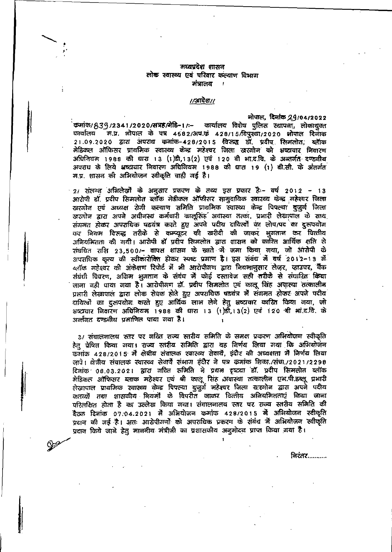#### मध्यप्रदेश शासन लोक स्वास्थ्य एवं परिवार कल्याण विभाग मंत्रालय  $\overline{1}$

### $1/3$ सरेश $1/$

भोपाल, दिनकि 29/04/2022 कमांक/ 839/2341/2020/सत्रह/बेडि-1/ :- कार्यालय विशेष पुलिस स्थापना, लोकायुक्त म.प्र. ओपाल के पत्र 4682/अप.कं 428/15/यिपुस्था/2020 भोपाल दिनांक कार्यालय 21.09.2020 द्वारा अपराध कमांक-428/2015 विरुद्ध डॉ. प्रदीप सिमलोत, ब्लॉक मेडिकल ऑफिसर प्राथमिक स्वास्थ्य केन्द्र महेश्वर जिला खरगोन को भ्रष्टाचार निवारण अधिनियम 1988 की धारा 13 (1)डी, 13(2) एवं 120 बी भा.द.वि. के अन्तर्गत दण्डनीय अपराध के लिये भाष्टाचार निवारण अधिनियम 1988 की घारा 19 (1) बी.सी. के अंतर्गत म.प्र. शासन की अभियोजन स्वीकृति चाही गई है।

21 संलग्न अभिलेखों के अनुसार प्रकरण के तथ्य इस प्रकार है:- वर्ष 2012 - 13 आरोपी डॉ. प्रदीप सिमलोत ब्लॉक मेडीकल ऑफीसर सामुदायिक स्वारथ्य फेन्द्र महेश्वर जिला खरगोन एवं अध्यक्ष रोगी कल्याण समिति प्राथमिक स्वास्थ्य केन्द्र पिपल्या बुजुर्ग जिला खरगोन द्वारा अपने अधीनस्थ कर्मचारी कालूसिंह अवास्या तत्का. प्रभारी लेखापाल के साथ संगमत होकर अपराधिक षडयंत्र करते हुए अपने पदीय दायित्वों का लोप/पद का दुरुपयोग कर बियम विरुद्ध तरीके से कम्प्यूटर की खरीदी की जाकर भुगतान कर वित्तीय अनियमितता की गयी। आरोपी डॉ प्रदीप सिमलोत द्वारा शासन को कारित आर्थिक क्षति से रांबधित राशि 23,500/- वापस शासन के स्नाते में जमा किया गया, जो आरोपी के अपराधिक कृत्य की स्वीकारोक्ति होकर स्पष्ट प्रमाण है। इस संबंध में वर्ष 2012-13 में ब्लॉक महेश्यर की अंकेक्षण रिपोर्ट में भी आरोपीजण द्वारा नियमानुसार लेजर, व्हाउचर, बैंक संबंधी विवरण, अग्निम भूगतान के संबंध में कोई दस्तावेज सही तरीके से संघारित किया जाना वही पाया गया है। आरोपीगण डॉ. प्रदीप सिमलोत एवं कालू सिंह अवास्या तत्कालीन प्रभारी लेखापाल द्वारा लोक सेवक होते हुए अपराधिक षडयंत्र में संगमत होकर अपने पदीय दायित्वों का दुरुपयोग करते हुए आर्थिक लाभ लेने हेतु भ्रष्टाचार कारित किया गया, जो भ्रष्ट्यचार लिवारण अधिनियम 1988 की घारा 13 (1)डी, 13(2) एवं 120 बी भां.द.वि. के अर्ल्तगत दण्डवीय प्रमाणित पाया गया है।

३/ संघालनालय स्तर पर गठित राज्य स्तरीय समिति के समक्ष प्रकरण अभियोजन स्वीकृति हेतू प्रेषित किया गया। राज्य स्तरीय समिति द्वारा यह निर्णय लिया गया कि अभियोजन फमांक 428/2015 में क्षेत्रीय संवालक स्वास्थ्य सेवार्बे, इंदौर की अध्यक्षता में निर्णय लिया जावे। क्षेत्रीय संचालक स्वास्थ्य सेवार्ये संभाग इंदौर ने पत्र कमांक शिका./संचा./2021/2298 दिलांक 08.03.2021 द्वारा गठित समिति ने प्रथम दृष्ट्या डॉ. प्रदीप सिमलोत ब्लॉक मेडिकल ऑफिसर ब्लाक महेश्वर एवं श्री कालू सिंह अवास्था तत्कालीन एम.पी.डब्लू प्रभारी लेखायाल प्राथमिक स्वास्थ्य केन्द्र पिपल्या बुजुर्ग महेश्वर जिला रहरगोन द्वारा अपने पदीय कतव्यों तथा शासकीय कियमों के विपरीत जाकर वित्तीय अनियमितताएं किया जाना परिलक्षित होता है का उल्लेख किया गया। संचालनालय स्तर पर राज्य स्तरीय समिति की कैटक दिनांक ०७.०४.२०२१ में अभियोजन कमांफ ४२८/२०१५ में अभियोजन स्वीकृति प्रदान की गई है। अतः आरोपीगर्णों को अपराधिक प्रकरण के संबंध में अभियोजन स्वीकृति प्रदान किये जाने हेतु माननीय मंत्रीजी का प्रशासकीय अनुमोदन प्राप्त किया गया है।

مختلي

<u>निरंतर…………</u>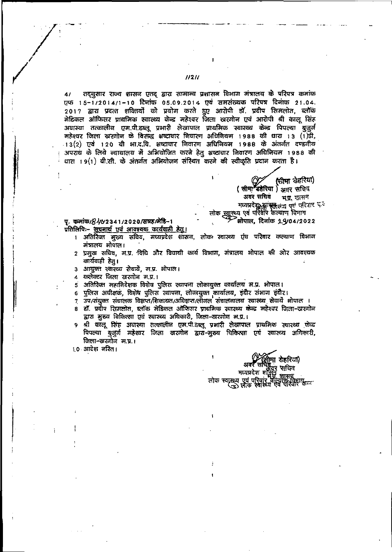$11211$ 

तद्बुसार राज्य शासन एतद् द्वारा सामान्य प्रशासन विभाग मंत्रालय के परिपत्र कमांक  $41$ एफ 15-1/2014/1-10 दिनांक 05.09.2014 एवं समसंख्यक परिपत्र दिनांक 21.04. 2017 द्वारा प्रदत्त शक्तियों को प्रयोग करते हुए आरोपी डॉ. प्रदीप सिमलोत, ब्लॉक मेडिकल ऑफिसर प्राथमिक स्वास्थ्य केन्द्र महेश्वर जिला खरगोन एवं आरोपी श्री कालू सिंह अवास्या तत्कालीन एम.पी.डब्लू प्रभारी लेखापाल प्राथमिक स्वास्थ्य केन्द्र पिपल्या बुजुर्ग महेश्यर जिला खरगोन के विरुद्ध क्षष्टाचार निवारण अधिनियम 1988 की धारा 13 (1)डी, -13(2) एवं 120 बी भा.द.वि. क्षष्टाचार निवारण अधिनियम 1988 के अंतर्गत दण्डनीय अपराध के लिये न्यायालय में अभियोजित करने हेतु भ्रष्टाचार निवारण अधिनियम 1988 की धारा 19(1) बी.सी. के अंतर्गत अभियोजन संस्थित करने की स्वीकृति प्रदान करता है।

> (सीमा खेहरिया) ( सीमा<sup>ज</sup> इंडेरिया ) अंतर सचिव अवर सचिव भुष्ट, फासन मध्यप्रदेश अस्ति चन्द्र एवं परिपार पर<br>लोक स्वास्थ्य एवं परिवार कल्याण विमाग

मोपाल, दिनांक 1.9/04/2022

पृ. कमांक*।84*62341/2020/सत्रह/मेडि-1 प्रतिलिपिः- सूचनार्थं एवं आवश्यक कार्यवाही हेतु।

अतिरिक्त मुख्य सविव, मध्यप्रदेश शासन, लोक स्वास्थ्य एव परिवार कल्याण विभाग मंत्रालय भोपाल।

 $\mathbf{1}$ 

- 2 प्रमुख सचिव, म.प्र. विधि और विघायी कार्य विभाग, मंत्रालय भोपाल की ओर आवश्यक कार्यवाही हेतु।
- आयुक्त स्वास्थ्य सेवायें, म.प्र. भोपाल।  $\overline{\mathbf{a}}$
- कलेक्टर जिला खरगोन म.प.। 4
- अतिरिक्त महानिदेशक विशेष पुलिस स्थापना लोकांयुक्त कार्यालय म.प्र. भोपाल।
- पुलिस अधीक्षकं, विशेष पुलिस स्थापना, लोकायुक्त कार्यालय, इंदौर संभाग इंदौर। 6
- उप/संयुक्त संचालक विहाप्त/शिकायत/अधिहाप्त/लीगल संचालनालय स्वास्थ्य सेवाये भोपाल । 7
- हॉ. प्रदीप रिामलोत, ब्लॉक मेडिकल ऑफिसर प्राथमिक स्वास्थ्य केन्द्र महेश्वर जिला-खरगोन द्वारा मुख्य विकित्सा एवं स्वास्थ्य अधिकारी, जिला-खरगोन म.प्र.।
- श्री कालू सिंह अवास्या तत्कालीन एम.पी.डब्लू प्रभारी लेखापाल प्राथमिक स्थास्थ्य फेंव्र 9 पिपल्या बुजुर्ग महेश्यर जिला खरगोल द्वारा-मुख्य चिकित्सा एवं स्वास्थ्य अधिकारी, जिला-खरगोन म.प्र.।
- 1.0 आदेश नस्ति।

ï <u>ो</u>मा खेहरिया) अवर सचिद् विर 'सचिव मध्यप्रदेश शक्तिय लोक स्वास्थ्य एवं परिवार केल्युएम विमाग<br>(उ) लोक स्वास्थ्य एवं परिवार केल्यु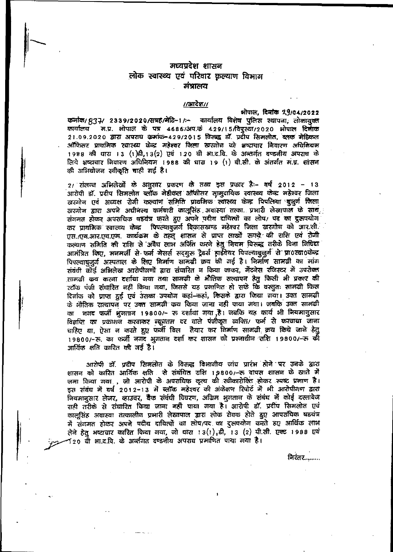# मध्यप्रदेश शासन लोक स्वास्थ्य एवं परिवार कृल्याण विभाग संत्रालय

# //आदेश//

भोपाल, दिनांक २,9/04/2022 कर्नाक/ 837/ 2339/2020/सत्रह/मेडि-17:- कार्यालय विशेष पुलिस स्थापना, लोकायुक्त कार्यालय भ.प्र. भोपाल के पत्र 4686/अप.कं 429/15/विपुस्था/2020 भोपाल दिनाक 21.09.2020 द्वारा अपराध कमांक-429/2015 विरुद्ध डॉ. प्रदीप सिमलोत, ब्लक मेडिकल ऑफिसर प्राथमिक स्वास्थ्य केन्द्र महेश्वर जिला खरगोन को भष्टाचार निवारण अधिनियम 1988 की धारा 13 (1)डी, 13(2) एवं 120 बी आ.द.वि. के अन्तर्गत दण्डनीय अपराध के लिये भ्रष्ट्यचार नियारण अधिनियम 1988 की धारा 19 (1) बी.सी. के अंतर्गत मे.प्र. शासन की अभियोजन स्वीकृति चाही गई है।

2/ संलग्न अभिलेखों के अनुसार प्रकरण के तव्य इस प्रकार है:- वर्ष 2012 - 13 आरोपी डॉ. प्रदीप सिमलोत ब्लॉक मेडीकल ऑफीसर सामुदायिक स्वास्थ्य केन्द्र महेश्वर जिला खरजोन एवं अध्यक्ष रोगी कल्याण समिति प्राथमिक स्वास्थ्य केन्द्र पिपलिया बूजुर्ण जिला खरणोन द्वारा अपने अधीनस्थ कर्मचारी कालूसिंह अवास्या तत्का. प्रभारी लेखापाल के साथ संगमत होकर अपराधिक षडयंत्र करते हुए अपने पदीय दायित्वों का लोप/ पद का दुरुपयोग कर प्राथमिक स्वास्थ्य केन्द्र पिपल्यावुजर्ग विकासखण्ड महेश्वर जिला खरगोन को आर.सी. एस. एव.आर.एच.एम. कार्यक्रम के तहतू शासन से प्राप्त लाखों रूपये की शशि एवं रोगी कल्याण समिति की राशि से अवैध लाभ अर्जित करने हेतु नियम विरूद्ध तरीके बिना निधिदा आमंत्रित किए, मनमर्जी से फर्म नेसर्स सद्गुरू ट्रेडर्स हार्डवेयर पिपल्याबुजुर्ग से प्रा0स्वा0केन्द्र पिपल्याबजूर्ण अस्पताल के लिए विर्माण सामग्री क्रय की गई है। निर्माण सामग्री का मांग संबंधी कोई अभिलेख आरोपीगणों द्वारा संघारित न किया जाकर, मेंटनेस रजिस्टर में उपरोक्त राामजी कय करना दर्शाया गया तथा सामग्री के भौतिक सत्यापन हेतु किसी भी प्रकार की स्टॉक पंजी संघारित नहीं किया गया, जिससे यह प्रमाणित हो सके कि वस्तुतः सामग्री किस दिलांक को प्राप्त दुई एवं उसका उपयोग कहां-कहां, किसके द्वारा किया गया। उक्त सामग्री के लौतिक सत्यापन पर उक्त सामग्री कय किया जाना नहीं पाया गया। जबकि उक्त सामग्री का लगद फर्जी भूगतान 19800/- रू दर्शाया गया है। जबकि यह कार्य भी नियमानुसार विज्ञप्ति का प्रकाशन करवाकर न्यूनतम दर वाले पंजीकृत व्यक्ति/ फर्म से करवाया जाना चाहिए या, ऐसा न करते हुए फर्जी बिल तैयार कर विर्माण सामग्री क्रय किये जाने हेतु 19800/-रु. का फर्जी नगद भूगतान दर्शा कर शासन को प्रश्नाधीन राशि 19800/-रु की आर्थिक क्षति कारित की गई है।

आरोपी डॉ. प्रदीप सिमलोत के विरुद्ध विभागीय जांच प्रारंभ होने पर उनके द्वारा शासन को कारित आर्थिक क्षति । से संबंधित राशि 1,9800/-रू वापस शासन के खाते में जमा किया गया , जो आरोपी के अपराधिक कृत्य की स्वीकारोक्ति होकर स्पष्ट प्रमाण है। इस संबंध में वर्ष 2012-13 में ब्लॉक महेश्वर की अंकेक्षण रिपोर्ट में भी आरोपीगण द्वारा नियमानुसार लेजर, व्हाउचर, बैंक संबंधी विवरण, अग्रिम भुगतान के संबंध में कोई दस्तावेज राही तरीके से संघारित किया जाना नहीं पाया गया है। आरोपी डॉ. प्रदीप सिमलोत एवं कालुसिंह अवास्था तत्कालीन प्रभारी लेखापाल द्वारा लोक सेवक होते हुए आपराधिक षडयंत्र में संगमत होकर अपने पदीय दायित्वों का लोप/पद का दुरूपयोग करते हुए आर्थिक लाभ लेने हेतु भष्टाचार कारित किया गया, जो धांरा 13(1),डी, 13 (2) पी.सी. एक्ट 1988 एयं 120 वी भा.द.वि. के अर्व्तगत दण्डनीय अपराघ प्रमाणित पाया गया है।

निरंतर........